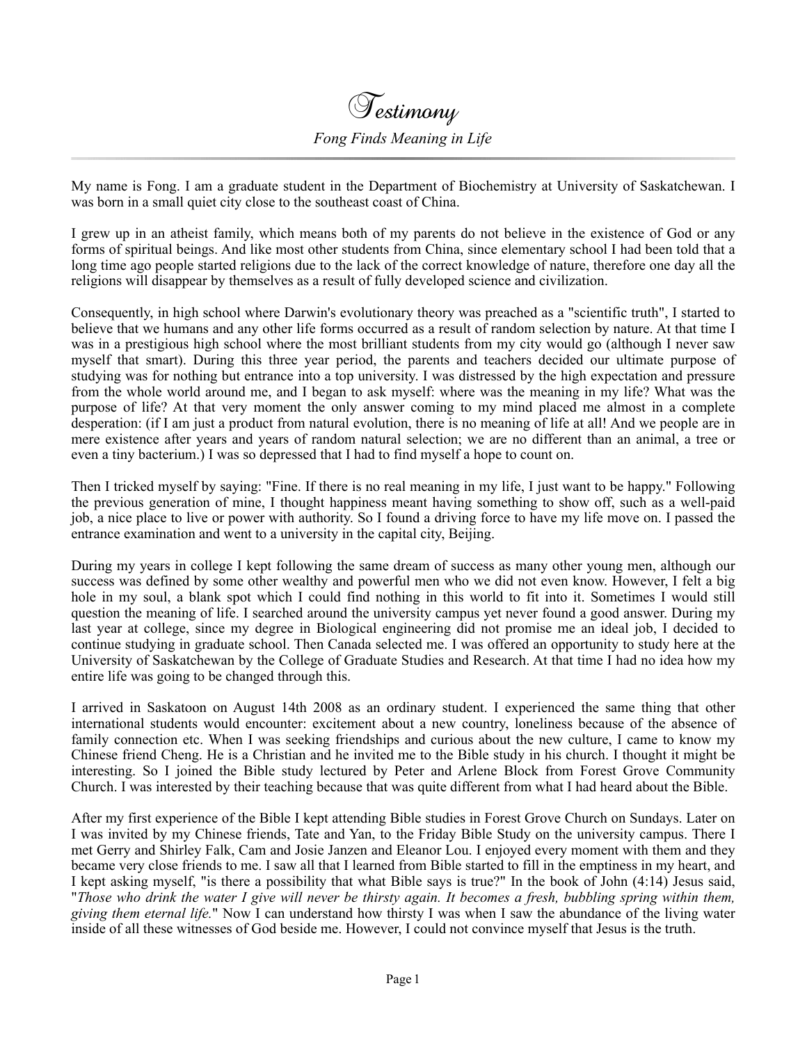Testimony *Fong Finds Meaning in Life*

My name is Fong. I am a graduate student in the Department of Biochemistry at University of Saskatchewan. I was born in a small quiet city close to the southeast coast of China.

I grew up in an atheist family, which means both of my parents do not believe in the existence of God or any forms of spiritual beings. And like most other students from China, since elementary school I had been told that a long time ago people started religions due to the lack of the correct knowledge of nature, therefore one day all the religions will disappear by themselves as a result of fully developed science and civilization.

Consequently, in high school where Darwin's evolutionary theory was preached as a "scientific truth", I started to believe that we humans and any other life forms occurred as a result of random selection by nature. At that time I was in a prestigious high school where the most brilliant students from my city would go (although I never saw myself that smart). During this three year period, the parents and teachers decided our ultimate purpose of studying was for nothing but entrance into a top university. I was distressed by the high expectation and pressure from the whole world around me, and I began to ask myself: where was the meaning in my life? What was the purpose of life? At that very moment the only answer coming to my mind placed me almost in a complete desperation: (if I am just a product from natural evolution, there is no meaning of life at all! And we people are in mere existence after years and years of random natural selection; we are no different than an animal, a tree or even a tiny bacterium.) I was so depressed that I had to find myself a hope to count on.

Then I tricked myself by saying: "Fine. If there is no real meaning in my life, I just want to be happy." Following the previous generation of mine, I thought happiness meant having something to show off, such as a well-paid job, a nice place to live or power with authority. So I found a driving force to have my life move on. I passed the entrance examination and went to a university in the capital city, Beijing.

During my years in college I kept following the same dream of success as many other young men, although our success was defined by some other wealthy and powerful men who we did not even know. However, I felt a big hole in my soul, a blank spot which I could find nothing in this world to fit into it. Sometimes I would still question the meaning of life. I searched around the university campus yet never found a good answer. During my last year at college, since my degree in Biological engineering did not promise me an ideal job, I decided to continue studying in graduate school. Then Canada selected me. I was offered an opportunity to study here at the University of Saskatchewan by the College of Graduate Studies and Research. At that time I had no idea how my entire life was going to be changed through this.

I arrived in Saskatoon on August 14th 2008 as an ordinary student. I experienced the same thing that other international students would encounter: excitement about a new country, loneliness because of the absence of family connection etc. When I was seeking friendships and curious about the new culture, I came to know my Chinese friend Cheng. He is a Christian and he invited me to the Bible study in his church. I thought it might be interesting. So I joined the Bible study lectured by Peter and Arlene Block from Forest Grove Community Church. I was interested by their teaching because that was quite different from what I had heard about the Bible.

After my first experience of the Bible I kept attending Bible studies in Forest Grove Church on Sundays. Later on I was invited by my Chinese friends, Tate and Yan, to the Friday Bible Study on the university campus. There I met Gerry and Shirley Falk, Cam and Josie Janzen and Eleanor Lou. I enjoyed every moment with them and they became very close friends to me. I saw all that I learned from Bible started to fill in the emptiness in my heart, and I kept asking myself, "is there a possibility that what Bible says is true?" In the book of John (4:14) Jesus said, "*Those who drink the water I give will never be thirsty again. It becomes a fresh, bubbling spring within them, giving them eternal life.*" Now I can understand how thirsty I was when I saw the abundance of the living water inside of all these witnesses of God beside me. However, I could not convince myself that Jesus is the truth.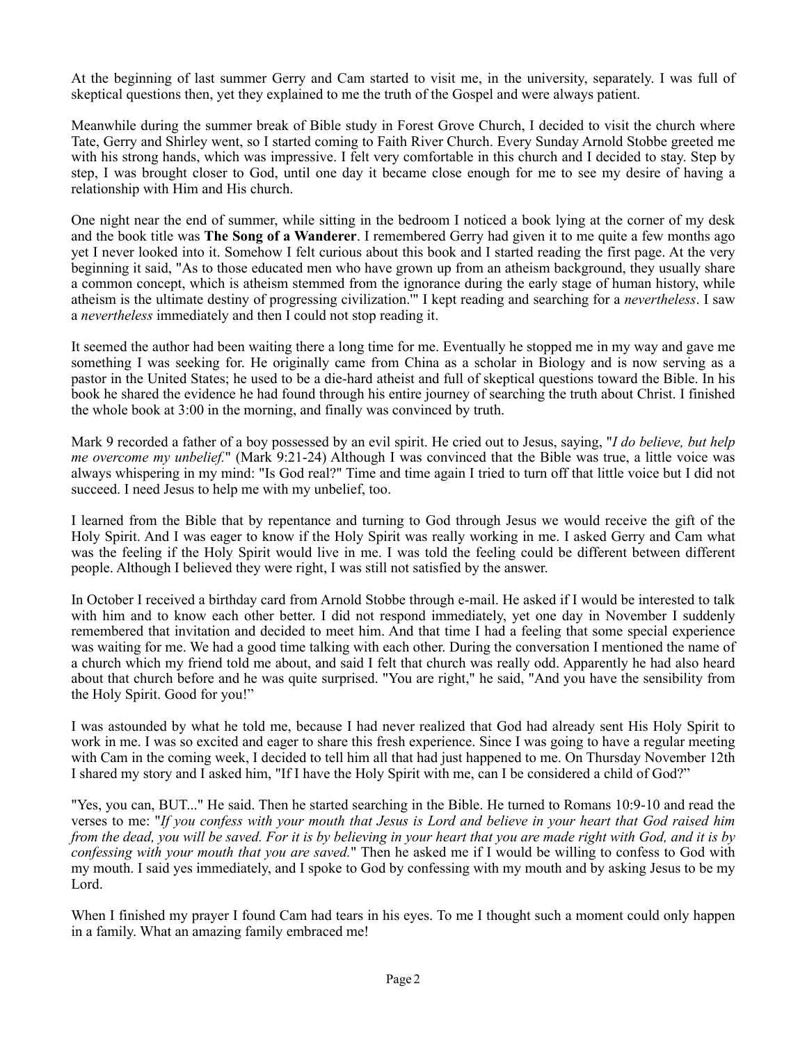At the beginning of last summer Gerry and Cam started to visit me, in the university, separately. I was full of skeptical questions then, yet they explained to me the truth of the Gospel and were always patient.

Meanwhile during the summer break of Bible study in Forest Grove Church, I decided to visit the church where Tate, Gerry and Shirley went, so I started coming to Faith River Church. Every Sunday Arnold Stobbe greeted me with his strong hands, which was impressive. I felt very comfortable in this church and I decided to stay. Step by step, I was brought closer to God, until one day it became close enough for me to see my desire of having a relationship with Him and His church.

One night near the end of summer, while sitting in the bedroom I noticed a book lying at the corner of my desk and the book title was **The Song of a Wanderer**. I remembered Gerry had given it to me quite a few months ago yet I never looked into it. Somehow I felt curious about this book and I started reading the first page. At the very beginning it said, "As to those educated men who have grown up from an atheism background, they usually share a common concept, which is atheism stemmed from the ignorance during the early stage of human history, while atheism is the ultimate destiny of progressing civilization.'" I kept reading and searching for a *nevertheless*. I saw a *nevertheless* immediately and then I could not stop reading it.

It seemed the author had been waiting there a long time for me. Eventually he stopped me in my way and gave me something I was seeking for. He originally came from China as a scholar in Biology and is now serving as a pastor in the United States; he used to be a die-hard atheist and full of skeptical questions toward the Bible. In his book he shared the evidence he had found through his entire journey of searching the truth about Christ. I finished the whole book at 3:00 in the morning, and finally was convinced by truth.

Mark 9 recorded a father of a boy possessed by an evil spirit. He cried out to Jesus, saying, "*I do believe, but help me overcome my unbelief.*" (Mark 9:21-24) Although I was convinced that the Bible was true, a little voice was always whispering in my mind: "Is God real?" Time and time again I tried to turn off that little voice but I did not succeed. I need Jesus to help me with my unbelief, too.

I learned from the Bible that by repentance and turning to God through Jesus we would receive the gift of the Holy Spirit. And I was eager to know if the Holy Spirit was really working in me. I asked Gerry and Cam what was the feeling if the Holy Spirit would live in me. I was told the feeling could be different between different people. Although I believed they were right, I was still not satisfied by the answer.

In October I received a birthday card from Arnold Stobbe through e-mail. He asked if I would be interested to talk with him and to know each other better. I did not respond immediately, yet one day in November I suddenly remembered that invitation and decided to meet him. And that time I had a feeling that some special experience was waiting for me. We had a good time talking with each other. During the conversation I mentioned the name of a church which my friend told me about, and said I felt that church was really odd. Apparently he had also heard about that church before and he was quite surprised. "You are right," he said, "And you have the sensibility from the Holy Spirit. Good for you!"

I was astounded by what he told me, because I had never realized that God had already sent His Holy Spirit to work in me. I was so excited and eager to share this fresh experience. Since I was going to have a regular meeting with Cam in the coming week, I decided to tell him all that had just happened to me. On Thursday November 12th I shared my story and I asked him, "If I have the Holy Spirit with me, can I be considered a child of God?"

"Yes, you can, BUT..." He said. Then he started searching in the Bible. He turned to Romans 10:9-10 and read the verses to me: "*If you confess with your mouth that Jesus is Lord and believe in your heart that God raised him from the dead, you will be saved. For it is by believing in your heart that you are made right with God, and it is by confessing with your mouth that you are saved.*" Then he asked me if I would be willing to confess to God with my mouth. I said yes immediately, and I spoke to God by confessing with my mouth and by asking Jesus to be my Lord.

When I finished my prayer I found Cam had tears in his eyes. To me I thought such a moment could only happen in a family. What an amazing family embraced me!